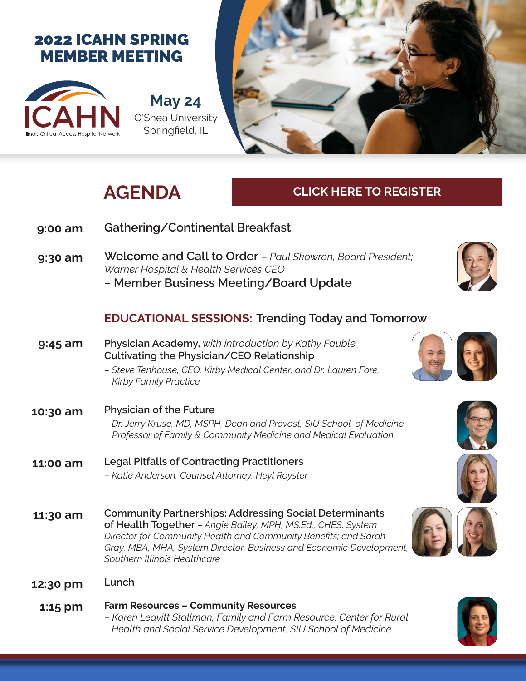## 2022 ICAHN SPRING MEMBER MEETING



**May 24** O'Shea University Springfield, IL



# **AGENDA**

### **CLICK HERE TO REGISTER**

| 9:00 am   | Gathering/Continental Breakfast                                                                                                                                                                                                                                                                         |
|-----------|---------------------------------------------------------------------------------------------------------------------------------------------------------------------------------------------------------------------------------------------------------------------------------------------------------|
| 9:30 am   | Welcome and Call to Order - Paul Skowron, Board President;<br>Warner Hospital & Health Services CEO<br>- Member Business Meeting/Board Update                                                                                                                                                           |
|           | <b>EDUCATIONAL SESSIONS: Trending Today and Tomorrow</b>                                                                                                                                                                                                                                                |
| $9:45$ am | Physician Academy, with introduction by Kathy Fauble<br>Cultivating the Physician/CEO Relationship<br>- Steve Tenhouse, CEO, Kirby Medical Center, and Dr. Lauren Fore,<br><b>Kirby Family Practice</b>                                                                                                 |
| 10:30 am  | <b>Physician of the Future</b><br>- Dr. Jerry Kruse, MD, MSPH, Dean and Provost, SIU School of Medicine,<br>Professor of Family & Community Medicine and Medical Evaluation                                                                                                                             |
| 11:00 am  | <b>Legal Pitfalls of Contracting Practitioners</b><br>- Katie Anderson, Counsel Attorney, Heyl Royster                                                                                                                                                                                                  |
| 11:30 am  | <b>Community Partnerships: Addressing Social Determinants</b><br>of Health Together - Angie Bailey, MPH, MS.Ed., CHES, System<br>Director for Community Health and Community Benefits; and Sarah<br>Gray, MBA, MHA, System Director, Business and Economic Development,<br>Southern Illinois Healthcare |
| 12:30 pm  | Lunch                                                                                                                                                                                                                                                                                                   |
| 1:15 pm   | <b>Farm Resources - Community Resources</b>                                                                                                                                                                                                                                                             |





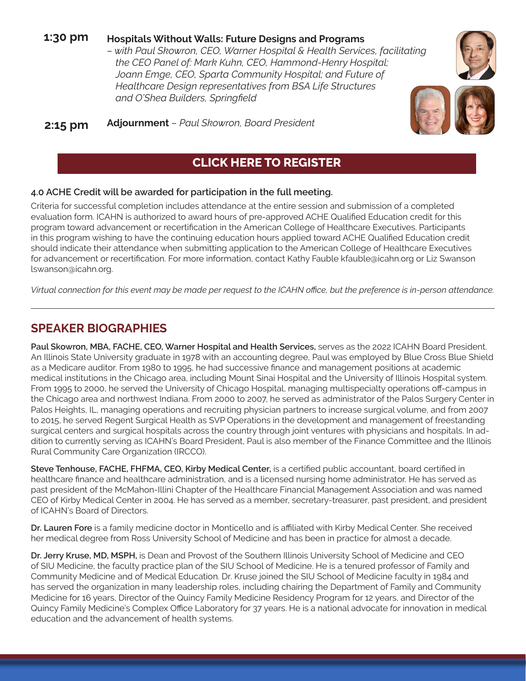#### **1:30 pm Hospitals Without Walls: Future Designs and Programs**

*– with Paul Skowron, CEO, Warner Hospital & Health Services, facilitating the CEO Panel of: Mark Kuhn, CEO, Hammond-Henry Hospital; Joann Emge, CEO, Sparta Community Hospital; and Future of Healthcare Design representatives from BSA Life Structures and O'Shea Builders, Springfield*

**2:15 pm Adjournment** *– Paul Skowron, Board President*

#### **CLICK HERE TO REGISTER**

#### **4.0 ACHE Credit will be awarded for participation in the full meeting.**

Criteria for successful completion includes attendance at the entire session and submission of a completed evaluation form. ICAHN is authorized to award hours of pre-approved ACHE Qualified Education credit for this program toward advancement or recertification in the American College of Healthcare Executives. Participants in this program wishing to have the continuing education hours applied toward ACHE Qualified Education credit should indicate their attendance when submitting application to the American College of Healthcare Executives for advancement or recertification. For more information, contact Kathy Fauble kfauble@icahn.org or Liz Swanson lswanson@icahn.org.

*Virtual connection for this event may be made per request to the ICAHN office, but the preference is in-person attendance.*

#### **SPEAKER BIOGRAPHIES**

**Paul Skowron, MBA, FACHE, CEO, Warner Hospital and Health Services,** serves as the 2022 ICAHN Board President. An Illinois State University graduate in 1978 with an accounting degree, Paul was employed by Blue Cross Blue Shield as a Medicare auditor. From 1980 to 1995, he had successive finance and management positions at academic medical institutions in the Chicago area, including Mount Sinai Hospital and the University of Illinois Hospital system. From 1995 to 2000, he served the University of Chicago Hospital, managing multispecialty operations off-campus in the Chicago area and northwest Indiana. From 2000 to 2007, he served as administrator of the Palos Surgery Center in Palos Heights, IL, managing operations and recruiting physician partners to increase surgical volume, and from 2007 to 2015, he served Regent Surgical Health as SVP Operations in the development and management of freestanding surgical centers and surgical hospitals across the country through joint ventures with physicians and hospitals. In addition to currently serving as ICAHN's Board President, Paul is also member of the Finance Committee and the Illinois Rural Community Care Organization (IRCCO).

**Steve Tenhouse, FACHE, FHFMA, CEO, Kirby Medical Center,** is a certified public accountant, board certified in healthcare finance and healthcare administration, and is a licensed nursing home administrator. He has served as past president of the McMahon-Illini Chapter of the Healthcare Financial Management Association and was named CEO of Kirby Medical Center in 2004. He has served as a member, secretary-treasurer, past president, and president of ICAHN's Board of Directors.

**Dr. Lauren Fore** is a family medicine doctor in Monticello and is affiliated with Kirby Medical Center. She received her medical degree from Ross University School of Medicine and has been in practice for almost a decade.

**Dr. Jerry Kruse, MD, MSPH,** is Dean and Provost of the Southern Illinois University School of Medicine and CEO of SIU Medicine, the faculty practice plan of the SIU School of Medicine. He is a tenured professor of Family and Community Medicine and of Medical Education. Dr. Kruse joined the SIU School of Medicine faculty in 1984 and has served the organization in many leadership roles, including chairing the Department of Family and Community Medicine for 16 years, Director of the Quincy Family Medicine Residency Program for 12 years, and Director of the Quincy Family Medicine's Complex Office Laboratory for 37 years. He is a national advocate for innovation in medical education and the advancement of health systems.